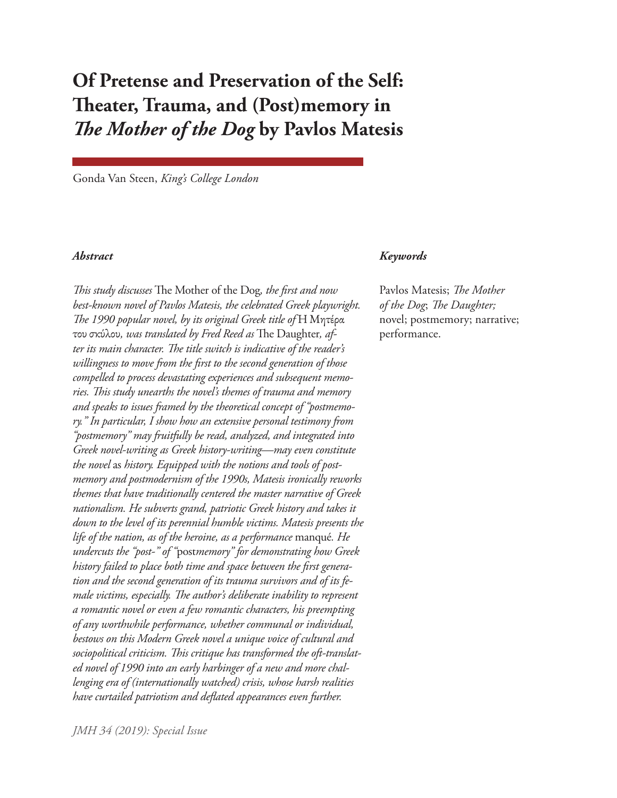# **Of Pretense and Preservation of the Self: Theater, Trauma, and (Post)memory in**  *The Mother of the Dog* **by Pavlos Matesis**

Gonda Van Steen, *King's College London*

*This study discusses* The Mother of the Dog*, the first and now best-known novel of Pavlos Matesis, the celebrated Greek playwright. The 1990 popular novel, by its original Greek title of* Η Μητέρα του σκύλου*, was translated by Fred Reed as* The Daughter*, after its main character. The title switch is indicative of the reader's willingness to move from the first to the second generation of those compelled to process devastating experiences and subsequent memories. This study unearths the novel's themes of trauma and memory and speaks to issues framed by the theoretical concept of "postmemory." In particular, I show how an extensive personal testimony from "postmemory" may fruitfully be read, analyzed, and integrated into Greek novel-writing as Greek history-writing—may even constitute the novel* as *history. Equipped with the notions and tools of postmemory and postmodernism of the 1990s, Matesis ironically reworks themes that have traditionally centered the master narrative of Greek nationalism. He subverts grand, patriotic Greek history and takes it down to the level of its perennial humble victims. Matesis presents the life of the nation, as of the heroine, as a performance* manqué*. He undercuts the "post-" of "*post*memory" for demonstrating how Greek history failed to place both time and space between the first generation and the second generation of its trauma survivors and of its female victims, especially. The author's deliberate inability to represent a romantic novel or even a few romantic characters, his preempting of any worthwhile performance, whether communal or individual, bestows on this Modern Greek novel a unique voice of cultural and sociopolitical criticism. This critique has transformed the oft-translated novel of 1990 into an early harbinger of a new and more challenging era of (internationally watched) crisis, whose harsh realities have curtailed patriotism and deflated appearances even further.* 

#### *Abstract Keywords*

Pavlos Matesis; *The Mother of the Dog*; *The Daughter;* novel; postmemory; narrative; performance.

*JMH 34 (2019): Special Issue*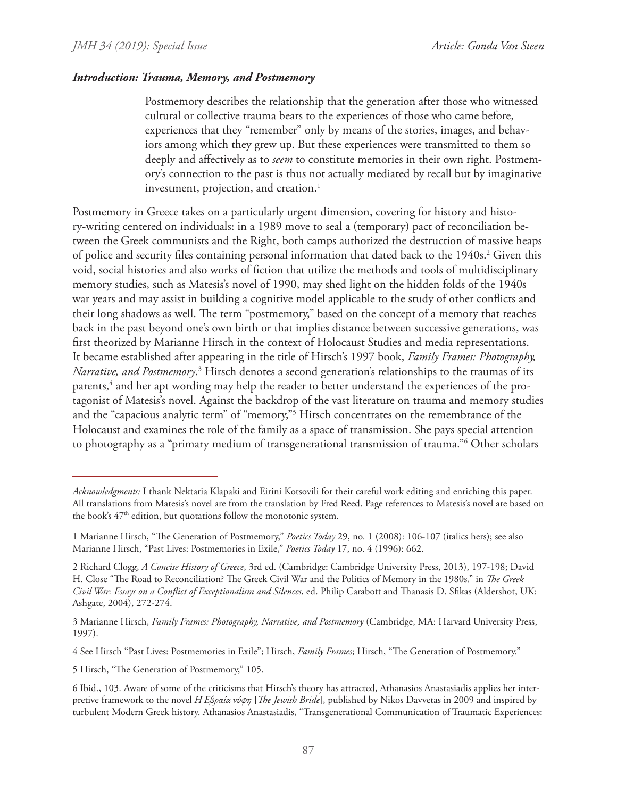#### *Introduction: Trauma, Memory, and Postmemory*

Postmemory describes the relationship that the generation after those who witnessed cultural or collective trauma bears to the experiences of those who came before, experiences that they "remember" only by means of the stories, images, and behaviors among which they grew up. But these experiences were transmitted to them so deeply and affectively as to *seem* to constitute memories in their own right. Postmemory's connection to the past is thus not actually mediated by recall but by imaginative investment, projection, and creation.<sup>1</sup>

Postmemory in Greece takes on a particularly urgent dimension, covering for history and history-writing centered on individuals: in a 1989 move to seal a (temporary) pact of reconciliation between the Greek communists and the Right, both camps authorized the destruction of massive heaps of police and security files containing personal information that dated back to the 1940s.<sup>2</sup> Given this void, social histories and also works of fiction that utilize the methods and tools of multidisciplinary memory studies, such as Matesis's novel of 1990, may shed light on the hidden folds of the 1940s war years and may assist in building a cognitive model applicable to the study of other conflicts and their long shadows as well. The term "postmemory," based on the concept of a memory that reaches back in the past beyond one's own birth or that implies distance between successive generations, was first theorized by Marianne Hirsch in the context of Holocaust Studies and media representations. It became established after appearing in the title of Hirsch's 1997 book, *Family Frames: Photography,*  Narrative, and Postmemory.<sup>3</sup> Hirsch denotes a second generation's relationships to the traumas of its parents,<sup>4</sup> and her apt wording may help the reader to better understand the experiences of the protagonist of Matesis's novel. Against the backdrop of the vast literature on trauma and memory studies and the "capacious analytic term" of "memory,"5 Hirsch concentrates on the remembrance of the Holocaust and examines the role of the family as a space of transmission. She pays special attention to photography as a "primary medium of transgenerational transmission of trauma."6 Other scholars

*Acknowledgments:* I thank Nektaria Klapaki and Eirini Kotsovili for their careful work editing and enriching this paper. All translations from Matesis's novel are from the translation by Fred Reed. Page references to Matesis's novel are based on the book's  $47<sup>th</sup>$  edition, but quotations follow the monotonic system.

<sup>1</sup> Marianne Hirsch, "The Generation of Postmemory," *Poetics Today* 29, no. 1 (2008): 106-107 (italics hers); see also Marianne Hirsch, "Past Lives: Postmemories in Exile," *Poetics Today* 17, no. 4 (1996): 662.

<sup>2</sup> Richard Clogg, *A Concise History of Greece*, 3rd ed. (Cambridge: Cambridge University Press, 2013), 197-198; David H. Close "The Road to Reconciliation? The Greek Civil War and the Politics of Memory in the 1980s," in *The Greek Civil War: Essays on a Conflict of Exceptionalism and Silences*, ed. Philip Carabott and Thanasis D. Sfikas (Aldershot, UK: Ashgate, 2004), 272-274.

<sup>3</sup> Marianne Hirsch, *Family Frames: Photography, Narrative, and Postmemory* (Cambridge, MA: Harvard University Press, 1997).

<sup>4</sup> See Hirsch "Past Lives: Postmemories in Exile"; Hirsch, *Family Frames*; Hirsch, "The Generation of Postmemory."

<sup>5</sup> Hirsch, "The Generation of Postmemory," 105.

<sup>6</sup> Ibid., 103. Aware of some of the criticisms that Hirsch's theory has attracted, Athanasios Anastasiadis applies her interpretive framework to the novel *Η Εβραία νύφη* [*The Jewish Bride*], published by Nikos Davvetas in 2009 and inspired by turbulent Modern Greek history. Athanasios Anastasiadis, "Transgenerational Communication of Traumatic Experiences: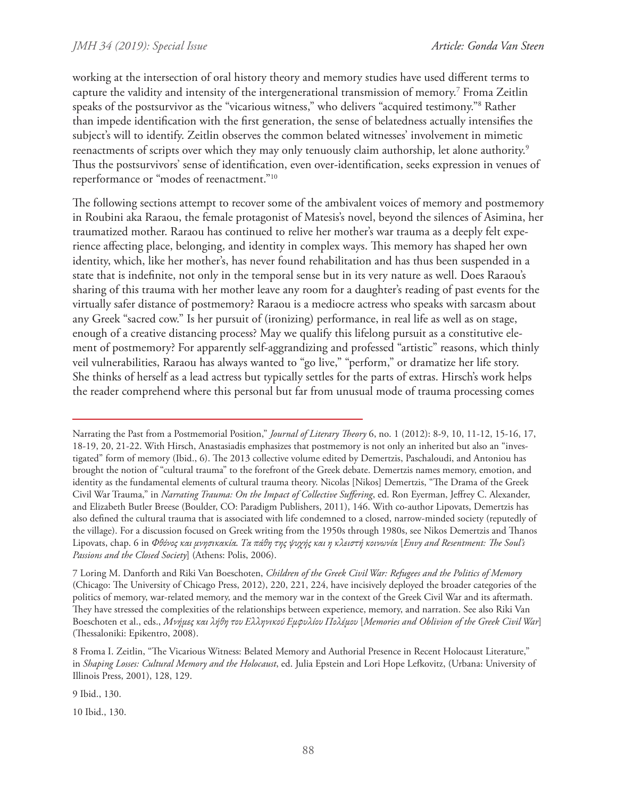working at the intersection of oral history theory and memory studies have used different terms to capture the validity and intensity of the intergenerational transmission of memory.7 Froma Zeitlin speaks of the postsurvivor as the "vicarious witness," who delivers "acquired testimony."8 Rather than impede identification with the first generation, the sense of belatedness actually intensifies the subject's will to identify. Zeitlin observes the common belated witnesses' involvement in mimetic reenactments of scripts over which they may only tenuously claim authorship, let alone authority.<sup>9</sup> Thus the postsurvivors' sense of identification, even over-identification, seeks expression in venues of reperformance or "modes of reenactment."10

The following sections attempt to recover some of the ambivalent voices of memory and postmemory in Roubini aka Raraou, the female protagonist of Matesis's novel, beyond the silences of Asimina, her traumatized mother. Raraou has continued to relive her mother's war trauma as a deeply felt experience affecting place, belonging, and identity in complex ways. This memory has shaped her own identity, which, like her mother's, has never found rehabilitation and has thus been suspended in a state that is indefinite, not only in the temporal sense but in its very nature as well. Does Raraou's sharing of this trauma with her mother leave any room for a daughter's reading of past events for the virtually safer distance of postmemory? Raraou is a mediocre actress who speaks with sarcasm about any Greek "sacred cow." Is her pursuit of (ironizing) performance, in real life as well as on stage, enough of a creative distancing process? May we qualify this lifelong pursuit as a constitutive element of postmemory? For apparently self-aggrandizing and professed "artistic" reasons, which thinly veil vulnerabilities, Raraou has always wanted to "go live," "perform," or dramatize her life story. She thinks of herself as a lead actress but typically settles for the parts of extras. Hirsch's work helps the reader comprehend where this personal but far from unusual mode of trauma processing comes

9 Ibid., 130.

10 Ibid., 130.

Narrating the Past from a Postmemorial Position," *Journal of Literary Theory* 6, no. 1 (2012): 8-9, 10, 11-12, 15-16, 17, 18-19, 20, 21-22. With Hirsch, Anastasiadis emphasizes that postmemory is not only an inherited but also an "investigated" form of memory (Ibid., 6). The 2013 collective volume edited by Demertzis, Paschaloudi, and Antoniou has brought the notion of "cultural trauma" to the forefront of the Greek debate. Demertzis names memory, emotion, and identity as the fundamental elements of cultural trauma theory. Nicolas [Nikos] Demertzis, "The Drama of the Greek Civil War Trauma," in *Narrating Trauma: On the Impact of Collective Suffering*, ed. Ron Eyerman, Jeffrey C. Alexander, and Elizabeth Butler Breese (Boulder, CO: Paradigm Publishers, 2011), 146. With co-author Lipovats, Demertzis has also defined the cultural trauma that is associated with life condemned to a closed, narrow-minded society (reputedly of the village). For a discussion focused on Greek writing from the 1950s through 1980s, see Nikos Demertzis and Thanos Lipovats, chap. 6 in *Φθόνος και μνησικακία. Τα πάθη της ψυχής και η κλειστή κοινωνία* [*Envy and Resentment: The Soul's Passions and the Closed Society*] (Athens: Polis, 2006).

<sup>7</sup> Loring M. Danforth and Riki Van Boeschoten, *Children of the Greek Civil War: Refugees and the Politics of Memory* (Chicago: The University of Chicago Press, 2012), 220, 221, 224, have incisively deployed the broader categories of the politics of memory, war-related memory, and the memory war in the context of the Greek Civil War and its aftermath. They have stressed the complexities of the relationships between experience, memory, and narration. See also Riki Van Boeschoten et al., eds., *Μνήμες και λήθη του Ελληνικού Εμφυλίου Πολέμου* [*Memories and Oblivion of the Greek Civil War*] (Thessaloniki: Epikentro, 2008).

<sup>8</sup> Froma I. Zeitlin, "The Vicarious Witness: Belated Memory and Authorial Presence in Recent Holocaust Literature," in *Shaping Losses: Cultural Memory and the Holocaust*, ed. Julia Epstein and Lori Hope Lefkovitz, (Urbana: University of Illinois Press, 2001), 128, 129.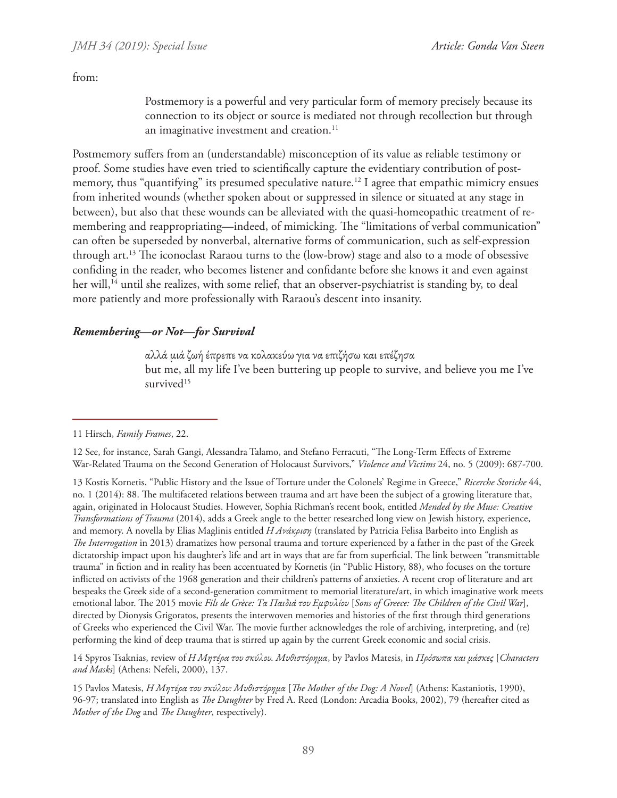from:

Postmemory is a powerful and very particular form of memory precisely because its connection to its object or source is mediated not through recollection but through an imaginative investment and creation.<sup>11</sup>

Postmemory suffers from an (understandable) misconception of its value as reliable testimony or proof. Some studies have even tried to scientifically capture the evidentiary contribution of postmemory, thus "quantifying" its presumed speculative nature.<sup>12</sup> I agree that empathic mimicry ensues from inherited wounds (whether spoken about or suppressed in silence or situated at any stage in between), but also that these wounds can be alleviated with the quasi-homeopathic treatment of remembering and reappropriating—indeed, of mimicking. The "limitations of verbal communication" can often be superseded by nonverbal, alternative forms of communication, such as self-expression through art.13 The iconoclast Raraou turns to the (low-brow) stage and also to a mode of obsessive confiding in the reader, who becomes listener and confidante before she knows it and even against her will,<sup>14</sup> until she realizes, with some relief, that an observer-psychiatrist is standing by, to deal more patiently and more professionally with Raraou's descent into insanity.

# *Remembering—or Not—for Survival*

αλλά μιά ζωή έπρεπε να κολακεύω για να επιζήσω και επέζησα but me, all my life I've been buttering up people to survive, and believe you me I've survived<sup>15</sup>

14 Spyros Tsaknias, review of *Η Μητέρα του σκύλου. Mυθιστόρημα*, by Pavlos Matesis, in *Πρόσωπα και μάσκες* [*Characters and Masks*] (Athens: Nefeli, 2000), 137.

<sup>11</sup> Hirsch, *Family Frames*, 22.

<sup>12</sup> See, for instance, Sarah Gangi, Alessandra Talamo, and Stefano Ferracuti, "The Long-Term Effects of Extreme War-Related Trauma on the Second Generation of Holocaust Survivors," *Violence and Victims* 24, no. 5 (2009): 687-700.

<sup>13</sup> Kostis Kornetis, "Public History and the Issue of Torture under the Colonels' Regime in Greece," *Ricerche Storiche* 44, no. 1 (2014): 88. The multifaceted relations between trauma and art have been the subject of a growing literature that, again, originated in Holocaust Studies. However, Sophia Richman's recent book, entitled *Mended by the Muse: Creative Transformations of Trauma* (2014), adds a Greek angle to the better researched long view on Jewish history, experience, and memory. A novella by Elias Maglinis entitled *Η Ανάκριση* (translated by Patricia Felisa Barbeito into English as *The Interrogation* in 2013) dramatizes how personal trauma and torture experienced by a father in the past of the Greek dictatorship impact upon his daughter's life and art in ways that are far from superficial. The link between "transmittable trauma" in fiction and in reality has been accentuated by Kornetis (in "Public History, 88), who focuses on the torture inflicted on activists of the 1968 generation and their children's patterns of anxieties. A recent crop of literature and art bespeaks the Greek side of a second-generation commitment to memorial literature/art, in which imaginative work meets emotional labor. The 2015 movie *Fils de Grèce: Τα Παιδιά του Εμφυλίου* [*Sons of Greece: The Children of the Civil War*], directed by Dionysis Grigoratos, presents the interwoven memories and histories of the first through third generations of Greeks who experienced the Civil War. The movie further acknowledges the role of archiving, interpreting, and (re) performing the kind of deep trauma that is stirred up again by the current Greek economic and social crisis.

<sup>15</sup> Pavlos Matesis, *Η Μητέρα του σκύλου: Mυθιστόρημα* [*The Mother of the Dog: A Novel*] (Athens: Kastaniotis, 1990), 96-97; translated into English as *The Daughter* by Fred A. Reed (London: Arcadia Books, 2002), 79 (hereafter cited as *Mother of the Dog* and *The Daughter*, respectively).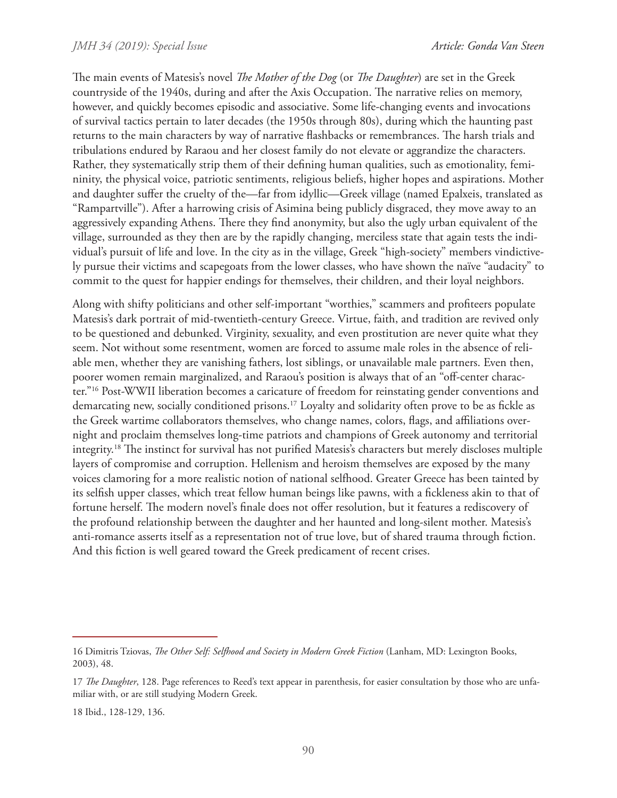The main events of Matesis's novel *The Mother of the Dog* (or *The Daughter*) are set in the Greek countryside of the 1940s, during and after the Axis Occupation. The narrative relies on memory, however, and quickly becomes episodic and associative. Some life-changing events and invocations of survival tactics pertain to later decades (the 1950s through 80s), during which the haunting past returns to the main characters by way of narrative flashbacks or remembrances. The harsh trials and tribulations endured by Raraou and her closest family do not elevate or aggrandize the characters. Rather, they systematically strip them of their defining human qualities, such as emotionality, femininity, the physical voice, patriotic sentiments, religious beliefs, higher hopes and aspirations. Mother and daughter suffer the cruelty of the—far from idyllic—Greek village (named Epalxeis, translated as "Rampartville"). After a harrowing crisis of Asimina being publicly disgraced, they move away to an aggressively expanding Athens. There they find anonymity, but also the ugly urban equivalent of the village, surrounded as they then are by the rapidly changing, merciless state that again tests the individual's pursuit of life and love. In the city as in the village, Greek "high-society" members vindictively pursue their victims and scapegoats from the lower classes, who have shown the naïve "audacity" to commit to the quest for happier endings for themselves, their children, and their loyal neighbors.

Along with shifty politicians and other self-important "worthies," scammers and profiteers populate Matesis's dark portrait of mid-twentieth-century Greece. Virtue, faith, and tradition are revived only to be questioned and debunked. Virginity, sexuality, and even prostitution are never quite what they seem. Not without some resentment, women are forced to assume male roles in the absence of reliable men, whether they are vanishing fathers, lost siblings, or unavailable male partners. Even then, poorer women remain marginalized, and Raraou's position is always that of an "off-center character."16 Post-WWII liberation becomes a caricature of freedom for reinstating gender conventions and demarcating new, socially conditioned prisons.17 Loyalty and solidarity often prove to be as fickle as the Greek wartime collaborators themselves, who change names, colors, flags, and affiliations overnight and proclaim themselves long-time patriots and champions of Greek autonomy and territorial integrity.18 The instinct for survival has not purified Matesis's characters but merely discloses multiple layers of compromise and corruption. Hellenism and heroism themselves are exposed by the many voices clamoring for a more realistic notion of national selfhood. Greater Greece has been tainted by its selfish upper classes, which treat fellow human beings like pawns, with a fickleness akin to that of fortune herself. The modern novel's finale does not offer resolution, but it features a rediscovery of the profound relationship between the daughter and her haunted and long-silent mother. Matesis's anti-romance asserts itself as a representation not of true love, but of shared trauma through fiction. And this fiction is well geared toward the Greek predicament of recent crises.

18 Ibid., 128-129, 136.

<sup>16</sup> Dimitris Tziovas, *The Other Self: Selfhood and Society in Modern Greek Fiction* (Lanham, MD: Lexington Books, 2003), 48.

<sup>17</sup> *The Daughter*, 128. Page references to Reed's text appear in parenthesis, for easier consultation by those who are unfamiliar with, or are still studying Modern Greek.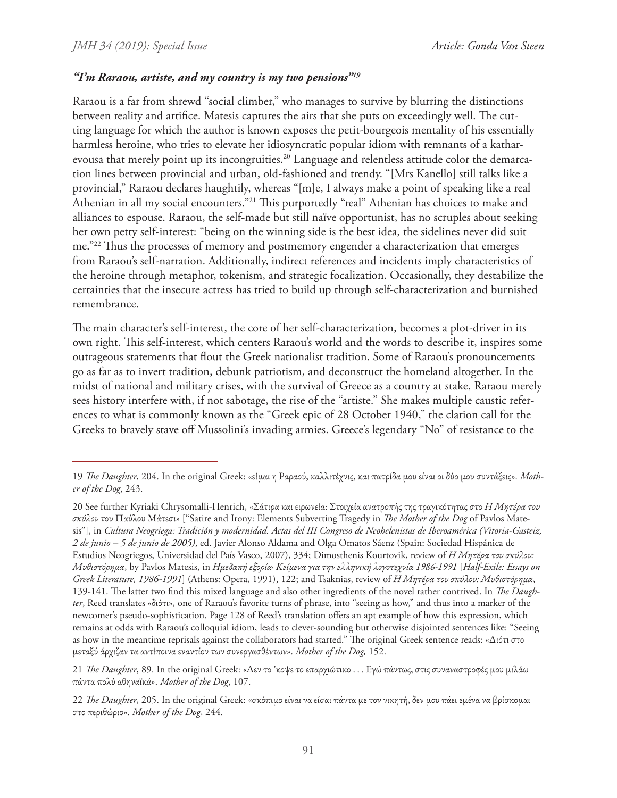## *"I'm Raraou, artiste, and my country is my two pensions"19*

Raraou is a far from shrewd "social climber," who manages to survive by blurring the distinctions between reality and artifice. Matesis captures the airs that she puts on exceedingly well. The cutting language for which the author is known exposes the petit-bourgeois mentality of his essentially harmless heroine, who tries to elevate her idiosyncratic popular idiom with remnants of a katharevousa that merely point up its incongruities.<sup>20</sup> Language and relentless attitude color the demarcation lines between provincial and urban, old-fashioned and trendy. "[Mrs Kanello] still talks like a provincial," Raraou declares haughtily, whereas "[m]e, I always make a point of speaking like a real Athenian in all my social encounters."<sup>21</sup> This purportedly "real" Athenian has choices to make and alliances to espouse. Raraou, the self-made but still naïve opportunist, has no scruples about seeking her own petty self-interest: "being on the winning side is the best idea, the sidelines never did suit me."22 Thus the processes of memory and postmemory engender a characterization that emerges from Raraou's self-narration. Additionally, indirect references and incidents imply characteristics of the heroine through metaphor, tokenism, and strategic focalization. Occasionally, they destabilize the certainties that the insecure actress has tried to build up through self-characterization and burnished remembrance.

The main character's self-interest, the core of her self-characterization, becomes a plot-driver in its own right. This self-interest, which centers Raraou's world and the words to describe it, inspires some outrageous statements that flout the Greek nationalist tradition. Some of Raraou's pronouncements go as far as to invert tradition, debunk patriotism, and deconstruct the homeland altogether. In the midst of national and military crises, with the survival of Greece as a country at stake, Raraou merely sees history interfere with, if not sabotage, the rise of the "artiste." She makes multiple caustic references to what is commonly known as the "Greek epic of 28 October 1940," the clarion call for the Greeks to bravely stave off Mussolini's invading armies. Greece's legendary "No" of resistance to the

<sup>19</sup> *The Daughter*, 204. In the original Greek: «είμαι η Ραραού, καλλιτέχνις, και πατρίδα μου είναι οι δύο μου συντάξεις». *Mother of the Dog*, 243.

<sup>20</sup> See further Kyriaki Chrysomalli-Henrich, «Σάτιρα και ειρωνεία: Στοιχεία ανατροπής της τραγικότητας στο *Η Μητέρα του σκύλου* του Παύλου Μάτεσι» ["Satire and Irony: Elements Subverting Tragedy in *The Mother of the Dog* of Pavlos Matesis"], in *Cultura Neogriega: Tradición y modernidad. Actas del III Congreso de Neohelenistas de Iberoamérica (Vitoria-Gasteiz, 2 de junio – 5 de junio de 2005)*, ed. Javier Alonso Aldama and Olga Omatos Sáenz (Spain: Sociedad Hispánica de Estudios Neogriegos, Universidad del País Vasco, 2007), 334; Dimosthenis Kourtovik, review of *Η Μητέρα του σκύλου: Mυθιστόρημα*, by Pavlos Matesis, in *Ημεδαπή εξορία· Κείμενα για την ελληνική λογοτεχνία 1986-1991* [*Half-Exile: Essays on Greek Literature, 1986-1991*] (Athens: Opera, 1991), 122; and Tsaknias, review of *Η Μητέρα του σκύλου: Mυθιστόρημα*, 139-141. The latter two find this mixed language and also other ingredients of the novel rather contrived. In *The Daughter*, Reed translates «διότι», one of Raraou's favorite turns of phrase, into "seeing as how," and thus into a marker of the newcomer's pseudo-sophistication. Page 128 of Reed's translation offers an apt example of how this expression, which remains at odds with Raraou's colloquial idiom, leads to clever-sounding but otherwise disjointed sentences like: "Seeing as how in the meantime reprisals against the collaborators had started." The original Greek sentence reads: «Διότι στο μεταξύ άρχιζαν τα αντίποινα εναντίον των συνεργασθέντων». *Mother of the Dog,* 152.

<sup>21</sup> *The Daughter*, 89. In the original Greek: «Δεν το 'κοψε το επαρχιώτικο . . . Εγώ πάντως, στις συναναστροφές μου μιλάω πάντα πολύ αθηναϊκά». *Mother of the Dog*, 107.

<sup>22</sup> *The Daughter*, 205. In the original Greek: «σκόπιμο είναι να είσαι πάντα με τον νικητή, δεν μου πάει εμένα να βρίσκομαι στο περιθώριο». *Mother of the Dog*, 244.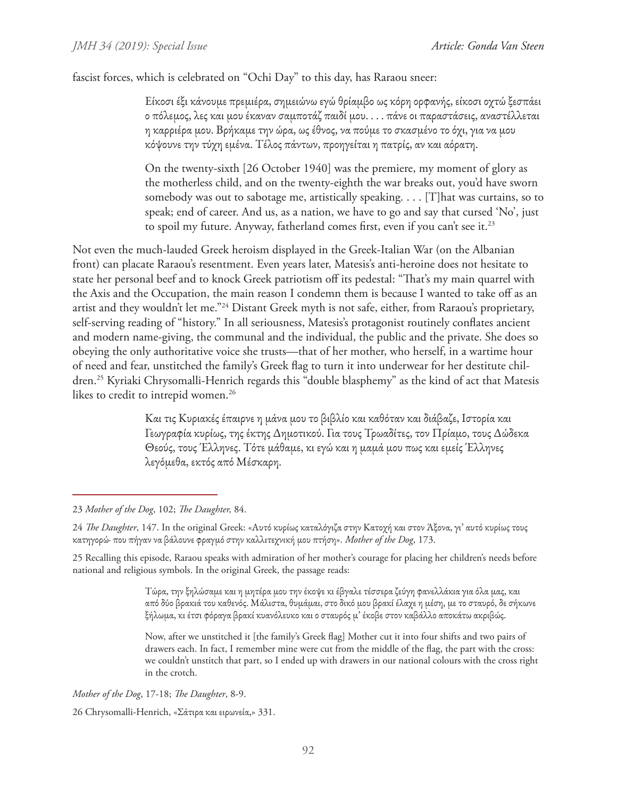fascist forces, which is celebrated on "Ochi Day" to this day, has Raraou sneer:

Είκοσι έξι κάνουμε πρεμιέρα, σημειώνω εγώ θρίαμβο ως κόρη ορφανής, είκοσι οχτώ ξεσπάει ο πόλεμος, λες και μου έκαναν σαμποτάζ παιδί μου. . . . πάνε οι παραστάσεις, αναστέλλεται η καρριέρα μου. Βρήκαμε την ώρα, ως έθνος, να πούμε το σκασμένο το όχι, για να μου κόψουνε την τύχη εμένα. Τέλος πάντων, προηγείται η πατρίς, αν και αόρατη.

On the twenty-sixth [26 October 1940] was the premiere, my moment of glory as the motherless child, and on the twenty-eighth the war breaks out, you'd have sworn somebody was out to sabotage me, artistically speaking. . . . [T]hat was curtains, so to speak; end of career. And us, as a nation, we have to go and say that cursed 'No', just to spoil my future. Anyway, fatherland comes first, even if you can't see it.<sup>23</sup>

Not even the much-lauded Greek heroism displayed in the Greek-Italian War (on the Albanian front) can placate Raraou's resentment. Even years later, Matesis's anti-heroine does not hesitate to state her personal beef and to knock Greek patriotism off its pedestal: "That's my main quarrel with the Axis and the Occupation, the main reason I condemn them is because I wanted to take off as an artist and they wouldn't let me."24 Distant Greek myth is not safe, either, from Raraou's proprietary, self-serving reading of "history." In all seriousness, Matesis's protagonist routinely conflates ancient and modern name-giving, the communal and the individual, the public and the private. She does so obeying the only authoritative voice she trusts—that of her mother, who herself, in a wartime hour of need and fear, unstitched the family's Greek flag to turn it into underwear for her destitute children.25 Kyriaki Chrysomalli-Henrich regards this "double blasphemy" as the kind of act that Matesis likes to credit to intrepid women.<sup>26</sup>

> Και τις Κυριακές έπαιρνε η μάνα μου το βιβλίο και καθόταν και διάβαζε, Ιστορία και Γεωγραφία κυρίως, της έκτης Δημοτικού. Για τους Τρωαδίτες, τον Πρίαμο, τους Δώδεκα Θεούς, τους Έλληνες. Τότε μάθαμε, κι εγώ και η μαμά μου πως και εμείς Έλληνες λεγόμεθα, εκτός από Μέσκαρη.

*Mother of the Dog*, 17-18; *The Daughter*, 8-9. 26 Chrysomalli-Henrich, «Σάτιρα και ειρωνεία,» 331.

<sup>23</sup> *Mother of the Dog*, 102; *The Daughter,* 84.

<sup>24</sup> *The Daughter*, 147. In the original Greek: «Αυτό κυρίως καταλόγιζα στην Κατοχή και στον Άξονα, γι' αυτό κυρίως τους κατηγορώ· που πήγαν να βάλουνε φραγμό στην καλλιτεχνική μου πτήση». *Mother of the Dog*, 173.

<sup>25</sup> Recalling this episode, Raraou speaks with admiration of her mother's courage for placing her children's needs before national and religious symbols. In the original Greek, the passage reads:

Τώρα, την ξηλώσαμε και η μητέρα μου την έκοψε κι έβγαλε τέσσερα ζεύγη φανελλάκια για όλα μας, και από δύο βρακιά του καθενός. Μάλιστα, θυμάμαι, στο δικό μου βρακί έλαχε η μέση, με το σταυρό, δε σήκωνε ξήλωμα, κι έτσι φόραγα βρακί κυανόλευκο και ο σταυρός μ' έκοβε στον καβάλλο αποκάτω ακριβώς.

Now, after we unstitched it [the family's Greek flag] Mother cut it into four shifts and two pairs of drawers each. In fact, I remember mine were cut from the middle of the flag, the part with the cross: we couldn't unstitch that part, so I ended up with drawers in our national colours with the cross right in the crotch.

<sup>92</sup>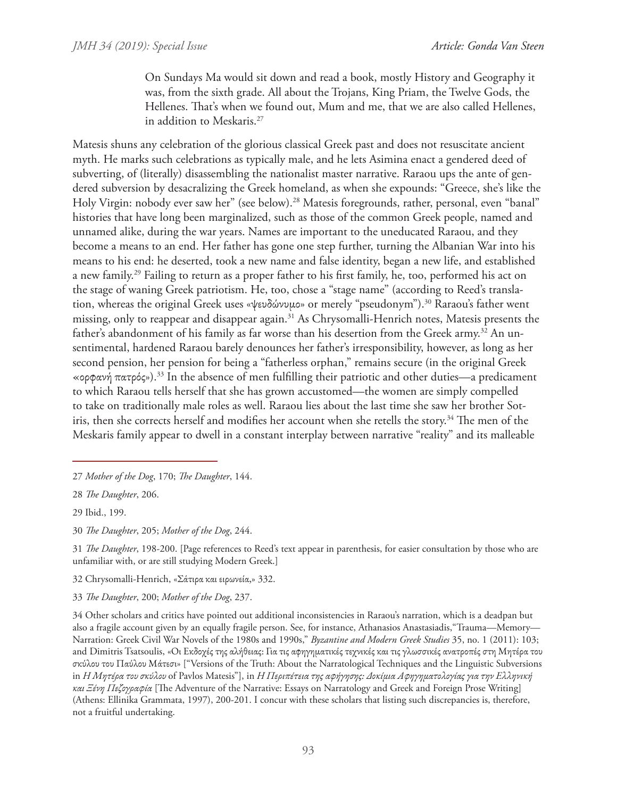On Sundays Ma would sit down and read a book, mostly History and Geography it was, from the sixth grade. All about the Trojans, King Priam, the Twelve Gods, the Hellenes. That's when we found out, Mum and me, that we are also called Hellenes, in addition to Meskaris.27

Matesis shuns any celebration of the glorious classical Greek past and does not resuscitate ancient myth. He marks such celebrations as typically male, and he lets Asimina enact a gendered deed of subverting, of (literally) disassembling the nationalist master narrative. Raraou ups the ante of gendered subversion by desacralizing the Greek homeland, as when she expounds: "Greece, she's like the Holy Virgin: nobody ever saw her" (see below).<sup>28</sup> Matesis foregrounds, rather, personal, even "banal" histories that have long been marginalized, such as those of the common Greek people, named and unnamed alike, during the war years. Names are important to the uneducated Raraou, and they become a means to an end. Her father has gone one step further, turning the Albanian War into his means to his end: he deserted, took a new name and false identity, began a new life, and established a new family.29 Failing to return as a proper father to his first family, he, too, performed his act on the stage of waning Greek patriotism. He, too, chose a "stage name" (according to Reed's translation, whereas the original Greek uses «ψευδώνυμο» or merely "pseudonym").30 Raraou's father went missing, only to reappear and disappear again.31 As Chrysomalli-Henrich notes, Matesis presents the father's abandonment of his family as far worse than his desertion from the Greek army.<sup>32</sup> An unsentimental, hardened Raraou barely denounces her father's irresponsibility, however, as long as her second pension, her pension for being a "fatherless orphan," remains secure (in the original Greek «ορφανή πατρός»).33 In the absence of men fulfilling their patriotic and other duties—a predicament to which Raraou tells herself that she has grown accustomed—the women are simply compelled to take on traditionally male roles as well. Raraou lies about the last time she saw her brother Sotiris, then she corrects herself and modifies her account when she retells the story.<sup>34</sup> The men of the Meskaris family appear to dwell in a constant interplay between narrative "reality" and its malleable

- 32 Chrysomalli-Henrich, «Σάτιρα και ειρωνεία,» 332.
- 33 *The Daughter*, 200; *Mother of the Dog*, 237.

<sup>27</sup> *Mother of the Dog*, 170; *The Daughter*, 144.

<sup>28</sup> *The Daughter*, 206.

<sup>29</sup> Ibid., 199.

<sup>30</sup> *The Daughter*, 205; *Mother of the Dog*, 244.

<sup>31</sup> *The Daughter*, 198-200. [Page references to Reed's text appear in parenthesis, for easier consultation by those who are unfamiliar with, or are still studying Modern Greek.]

<sup>34</sup> Other scholars and critics have pointed out additional inconsistencies in Raraou's narration, which is a deadpan but also a fragile account given by an equally fragile person. See, for instance, Athanasios Anastasiadis,"Trauma—Memory— Narration: Greek Civil War Novels of the 1980s and 1990s," *Byzantine and Modern Greek Studies* 35, no. 1 (2011): 103; and Dimitris Tsatsoulis, «Οι Εκδοχές της αλήθειας: Για τις αφηγηματικές τεχνικές και τις γλωσσικές ανατροπές στη Μητέρα του σκύλου του Παύλου Μάτεσι» ["Versions of the Truth: About the Narratological Techniques and the Linguistic Subversions in *Η Μητέρα του σκύλου* of Pavlos Matesis"], in *Η Περιπέτεια της αφήγησης: Δοκίμια Αφηγηματολογίας για την Eλληνική και Ξένη Πεζογραφία* [The Adventure of the Narrative: Essays on Narratology and Greek and Foreign Prose Writing] (Athens: Ellinika Grammata, 1997), 200-201. I concur with these scholars that listing such discrepancies is, therefore, not a fruitful undertaking.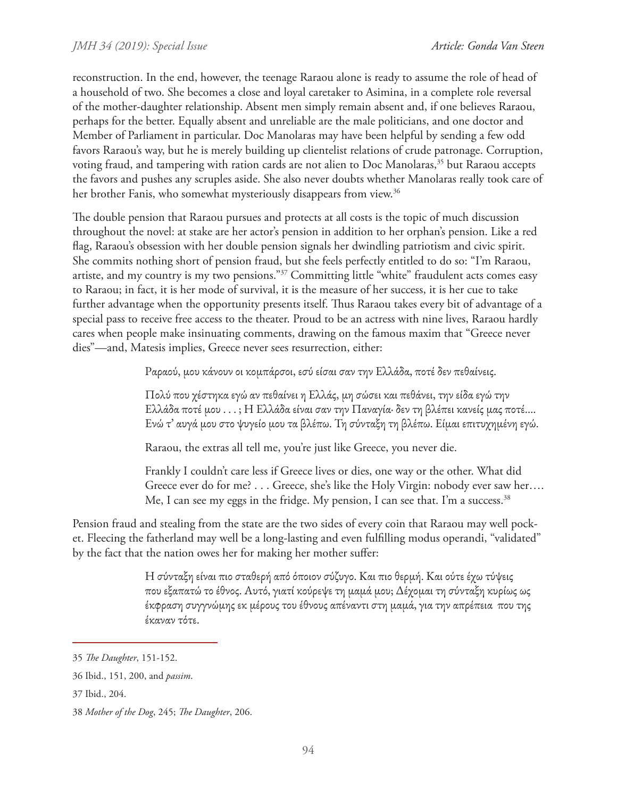reconstruction. In the end, however, the teenage Raraou alone is ready to assume the role of head of a household of two. She becomes a close and loyal caretaker to Asimina, in a complete role reversal of the mother-daughter relationship. Absent men simply remain absent and, if one believes Raraou, perhaps for the better. Equally absent and unreliable are the male politicians, and one doctor and Member of Parliament in particular. Doc Manolaras may have been helpful by sending a few odd favors Raraou's way, but he is merely building up clientelist relations of crude patronage. Corruption, voting fraud, and tampering with ration cards are not alien to Doc Manolaras,<sup>35</sup> but Raraou accepts the favors and pushes any scruples aside. She also never doubts whether Manolaras really took care of her brother Fanis, who somewhat mysteriously disappears from view.<sup>36</sup>

The double pension that Raraou pursues and protects at all costs is the topic of much discussion throughout the novel: at stake are her actor's pension in addition to her orphan's pension. Like a red flag, Raraou's obsession with her double pension signals her dwindling patriotism and civic spirit. She commits nothing short of pension fraud, but she feels perfectly entitled to do so: "I'm Raraou, artiste, and my country is my two pensions."37 Committing little "white" fraudulent acts comes easy to Raraou; in fact, it is her mode of survival, it is the measure of her success, it is her cue to take further advantage when the opportunity presents itself. Thus Raraou takes every bit of advantage of a special pass to receive free access to the theater. Proud to be an actress with nine lives, Raraou hardly cares when people make insinuating comments, drawing on the famous maxim that "Greece never dies"—and, Matesis implies, Greece never sees resurrection, either:

Ραραού, μου κάνουν οι κομπάρσοι, εσύ είσαι σαν την Ελλάδα, ποτέ δεν πεθαίνεις.

Πολύ που χέστηκα εγώ αν πεθαίνει η Ελλάς, μη σώσει και πεθάνει, την είδα εγώ την Ελλάδα ποτέ μου . . . ; Η Ελλάδα είναι σαν την Παναγία· δεν τη βλέπει κανείς μας ποτέ…. Ενώ τ' αυγά μου στο ψυγείο μου τα βλέπω. Τη σύνταξη τη βλέπω. Είμαι επιτυχημένη εγώ.

Raraou, the extras all tell me, you're just like Greece, you never die.

Frankly I couldn't care less if Greece lives or dies, one way or the other. What did Greece ever do for me? . . . Greece, she's like the Holy Virgin: nobody ever saw her…. Me, I can see my eggs in the fridge. My pension, I can see that. I'm a success.<sup>38</sup>

Pension fraud and stealing from the state are the two sides of every coin that Raraou may well pocket. Fleecing the fatherland may well be a long-lasting and even fulfilling modus operandi, "validated" by the fact that the nation owes her for making her mother suffer:

> Η σύνταξη είναι πιο σταθερή από όποιον σύζυγο. Και πιο θερμή. Και ούτε έχω τύψεις που εξαπατώ το έθνος. Αυτό, γιατί κούρεψε τη μαμά μου; Δέχομαι τη σύνταξη κυρίως ως έκφραση συγγνώμης εκ μέρους του έθνους απέναντι στη μαμά, για την απρέπεια που της έκαναν τότε.

<sup>35</sup> *The Daughter*, 151-152.

<sup>36</sup> Ibid., 151, 200, and *passim*.

<sup>37</sup> Ibid., 204.

<sup>38</sup> *Mother of the Dog*, 245; *The Daughter*, 206.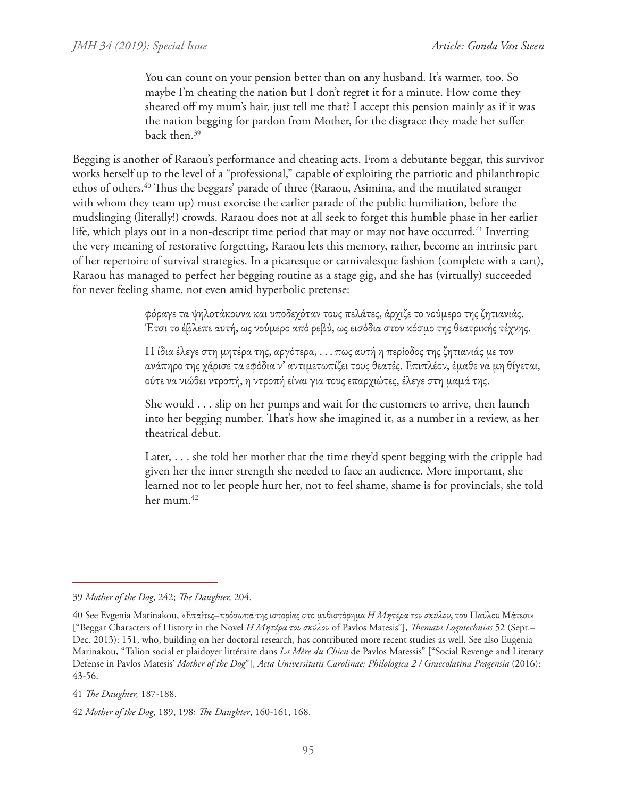You can count on your pension better than on any husband. It's warmer, too. So maybe I'm cheating the nation but I don't regret it for a minute. How come they sheared off my mum's hair, just tell me that? I accept this pension mainly as if it was the nation begging for pardon from Mother, for the disgrace they made her suffer back then.39

Begging is another of Raraou's performance and cheating acts. From a debutante beggar, this survivor works herself up to the level of a "professional," capable of exploiting the patriotic and philanthropic ethos of others.40 Thus the beggars' parade of three (Raraou, Asimina, and the mutilated stranger with whom they team up) must exorcise the earlier parade of the public humiliation, before the mudslinging (literally!) crowds. Raraou does not at all seek to forget this humble phase in her earlier life, which plays out in a non-descript time period that may or may not have occurred.<sup>41</sup> Inverting the very meaning of restorative forgetting, Raraou lets this memory, rather, become an intrinsic part of her repertoire of survival strategies. In a picaresque or carnivalesque fashion (complete with a cart), Raraou has managed to perfect her begging routine as a stage gig, and she has (virtually) succeeded for never feeling shame, not even amid hyperbolic pretense:

> φόραγε τα ψηλοτάκουνα και υποδεχόταν τους πελάτες, άρχιζε το νούμερο της ζητιανιάς. Έτσι το έβλεπε αυτή, ως νούμερο από ρεβύ, ως εισόδια στον κόσμο της θεατρικής τέχνης.

Η ίδια έλεγε στη μητέρα της, αργότερα, . . . πως αυτή η περίοδος της ζητιανιάς με τον ανάπηρο της χάρισε τα εφόδια ν' αντιμετωπίζει τους θεατές. Επιπλέον, έμαθε να μη θίγεται, ούτε να νιώθει ντροπή, η ντροπή είναι για τους επαρχιώτες, έλεγε στη μαμά της.

She would . . . slip on her pumps and wait for the customers to arrive, then launch into her begging number. That's how she imagined it, as a number in a review, as her theatrical debut.

Later, . . . she told her mother that the time they'd spent begging with the cripple had given her the inner strength she needed to face an audience. More important, she learned not to let people hurt her, not to feel shame, shame is for provincials, she told her mum.<sup>42</sup>

<sup>39</sup> *Mother of the Dog*, 242; *The Daughter,* 204.

<sup>40</sup> See Evgenia Marinakou, «Επαίτες‒πρόσωπα της ιστορίας στο μυθιστόρημα *Η Μητέρα του σκύλου*, του Παύλου Μάτεσι» ["Beggar Characters of History in the Novel *Η Μητέρα του σκύλου* of Pavlos Matesis"], *Themata Logotechnias* 52 (Sept.– Dec. 2013): 151, who, building on her doctoral research, has contributed more recent studies as well. See also Eugenia Marinakou, "Talion social et plaidoyer littéraire dans *La Mère du Chien* de Pavlos Matessis" ["Social Revenge and Literary Defense in Pavlos Matesis' *Mother of the Dog*"], *Acta Universitatis Carolinae: Philologica 2 / Graecolatina Pragensia* (2016): 43-56.

<sup>41</sup> *The Daughter,* 187-188.

<sup>42</sup> *Mother of the Dog*, 189, 198; *The Daughter*, 160-161, 168.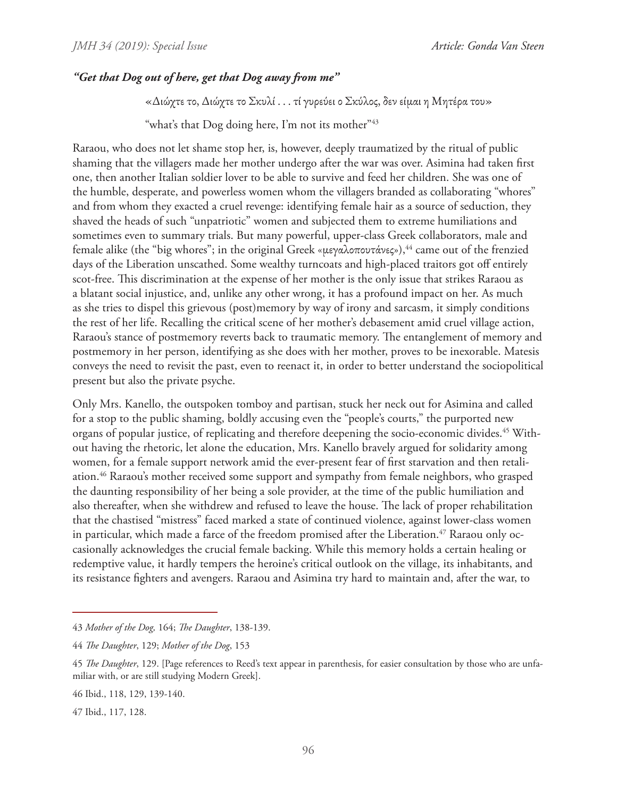#### *"Get that Dog out of here, get that Dog away from me"*

«Διώχτε το, Διώχτε το Σκυλί . . . τί γυρεύει ο Σκύλος, δεν είμαι η Μητέρα του»

"what's that Dog doing here, I'm not its mother"<sup>43</sup>

Raraou, who does not let shame stop her, is, however, deeply traumatized by the ritual of public shaming that the villagers made her mother undergo after the war was over. Asimina had taken first one, then another Italian soldier lover to be able to survive and feed her children. She was one of the humble, desperate, and powerless women whom the villagers branded as collaborating "whores" and from whom they exacted a cruel revenge: identifying female hair as a source of seduction, they shaved the heads of such "unpatriotic" women and subjected them to extreme humiliations and sometimes even to summary trials. But many powerful, upper-class Greek collaborators, male and female alike (the "big whores"; in the original Greek «μεγαλοπουτάνες»),<sup>44</sup> came out of the frenzied days of the Liberation unscathed. Some wealthy turncoats and high-placed traitors got off entirely scot-free. This discrimination at the expense of her mother is the only issue that strikes Raraou as a blatant social injustice, and, unlike any other wrong, it has a profound impact on her. As much as she tries to dispel this grievous (post)memory by way of irony and sarcasm, it simply conditions the rest of her life. Recalling the critical scene of her mother's debasement amid cruel village action, Raraou's stance of postmemory reverts back to traumatic memory. The entanglement of memory and postmemory in her person, identifying as she does with her mother, proves to be inexorable. Matesis conveys the need to revisit the past, even to reenact it, in order to better understand the sociopolitical present but also the private psyche.

Only Mrs. Kanello, the outspoken tomboy and partisan, stuck her neck out for Asimina and called for a stop to the public shaming, boldly accusing even the "people's courts," the purported new organs of popular justice, of replicating and therefore deepening the socio-economic divides.45 Without having the rhetoric, let alone the education, Mrs. Kanello bravely argued for solidarity among women, for a female support network amid the ever-present fear of first starvation and then retaliation.46 Raraou's mother received some support and sympathy from female neighbors, who grasped the daunting responsibility of her being a sole provider, at the time of the public humiliation and also thereafter, when she withdrew and refused to leave the house. The lack of proper rehabilitation that the chastised "mistress" faced marked a state of continued violence, against lower-class women in particular, which made a farce of the freedom promised after the Liberation.<sup>47</sup> Raraou only occasionally acknowledges the crucial female backing. While this memory holds a certain healing or redemptive value, it hardly tempers the heroine's critical outlook on the village, its inhabitants, and its resistance fighters and avengers. Raraou and Asimina try hard to maintain and, after the war, to

<sup>43</sup> *Mother of the Dog,* 164; *The Daughter*, 138-139.

<sup>44</sup> *The Daughter*, 129; *Mother of the Dog*, 153

<sup>45</sup> *The Daughter*, 129. [Page references to Reed's text appear in parenthesis, for easier consultation by those who are unfamiliar with, or are still studying Modern Greek].

<sup>46</sup> Ibid., 118, 129, 139-140.

<sup>47</sup> Ibid., 117, 128.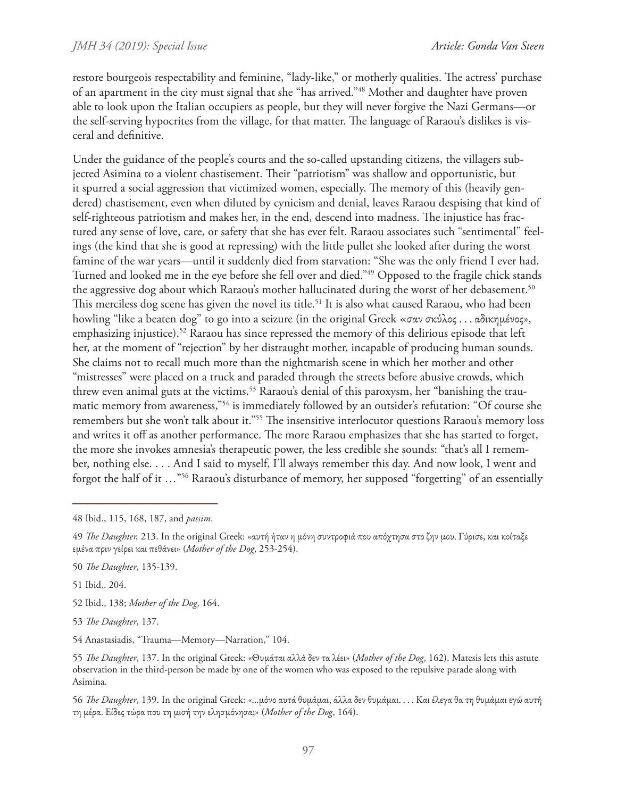restore bourgeois respectability and feminine, "lady-like," or motherly qualities. The actress' purchase of an apartment in the city must signal that she "has arrived."48 Mother and daughter have proven able to look upon the Italian occupiers as people, but they will never forgive the Nazi Germans—or the self-serving hypocrites from the village, for that matter. The language of Raraou's dislikes is visceral and definitive.

Under the guidance of the people's courts and the so-called upstanding citizens, the villagers subjected Asimina to a violent chastisement. Their "patriotism" was shallow and opportunistic, but it spurred a social aggression that victimized women, especially. The memory of this (heavily gendered) chastisement, even when diluted by cynicism and denial, leaves Raraou despising that kind of self-righteous patriotism and makes her, in the end, descend into madness. The injustice has fractured any sense of love, care, or safety that she has ever felt. Raraou associates such "sentimental" feelings (the kind that she is good at repressing) with the little pullet she looked after during the worst famine of the war years—until it suddenly died from starvation: "She was the only friend I ever had. Turned and looked me in the eye before she fell over and died."49 Opposed to the fragile chick stands the aggressive dog about which Raraou's mother hallucinated during the worst of her debasement.<sup>50</sup> This merciless dog scene has given the novel its title.<sup>51</sup> It is also what caused Raraou, who had been howling "like a beaten dog" to go into a seizure (in the original Greek «σαν σκύλος . . . αδικημένος», emphasizing injustice).<sup>52</sup> Raraou has since repressed the memory of this delirious episode that left her, at the moment of "rejection" by her distraught mother, incapable of producing human sounds. She claims not to recall much more than the nightmarish scene in which her mother and other "mistresses" were placed on a truck and paraded through the streets before abusive crowds, which threw even animal guts at the victims.<sup>53</sup> Raraou's denial of this paroxysm, her "banishing the traumatic memory from awareness,"54 is immediately followed by an outsider's refutation: "Of course she remembers but she won't talk about it."55 The insensitive interlocutor questions Raraou's memory loss and writes it off as another performance. The more Raraou emphasizes that she has started to forget, the more she invokes amnesia's therapeutic power, the less credible she sounds: "that's all I remember, nothing else. . . . And I said to myself, I'll always remember this day. And now look, I went and forgot the half of it …"56 Raraou's disturbance of memory, her supposed "forgetting" of an essentially

51 Ibid,. 204.

52 Ibid., 138; *Mother of the Dog*, 164.

53 *The Daughter*, 137.

54 Anastasiadis, "Trauma—Memory—Narration," 104.

55 *The Daughter*, 137. In the original Greek: «Θυμάται αλλά δεν τα λέει» (*Mother of the Dog*, 162). Matesis lets this astute observation in the third-person be made by one of the women who was exposed to the repulsive parade along with Asimina.

56 *The Daughter*, 139. In the original Greek: «…μόνο αυτά θυμάμαι, άλλα δεν θυμάμαι. . . . Και έλεγα θα τη θυμάμαι εγώ αυτή τη μέρα. Είδες τώρα που τη μισή την ελησμόνησα;» (*Mother of the Dog*, 164).

<sup>48</sup> Ibid., 115, 168, 187, and *passim*.

<sup>49</sup> *The Daughter,* 213. In the original Greek: «αυτή ήταν η μόνη συντροφιά που απόχτησα στο ζην μου. Γύρισε, και κοίταξε εμένα πριν γείρει και πεθάνει» (*Mother of the Dog*, 253-254).

<sup>50</sup> *The Daughter*, 135-139.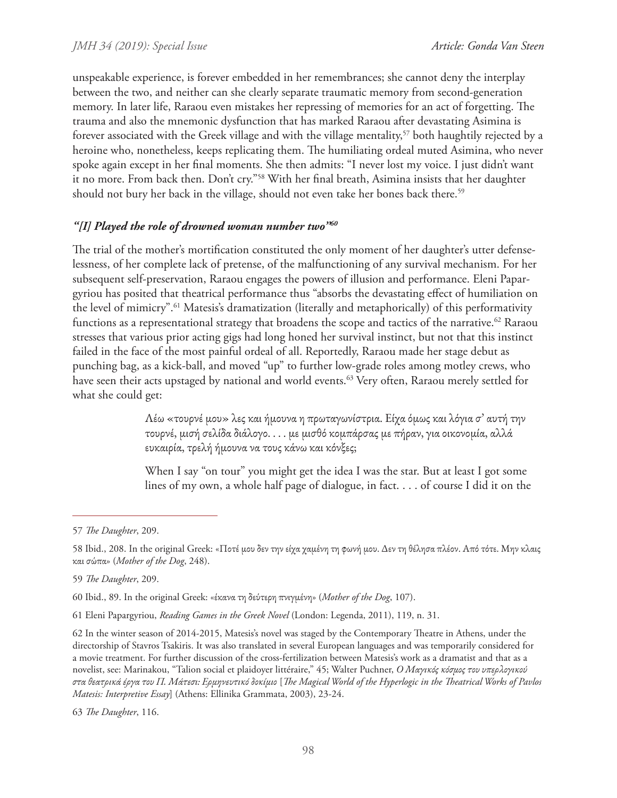unspeakable experience, is forever embedded in her remembrances; she cannot deny the interplay between the two, and neither can she clearly separate traumatic memory from second-generation memory. In later life, Raraou even mistakes her repressing of memories for an act of forgetting. The trauma and also the mnemonic dysfunction that has marked Raraou after devastating Asimina is forever associated with the Greek village and with the village mentality,<sup>57</sup> both haughtily rejected by a heroine who, nonetheless, keeps replicating them. The humiliating ordeal muted Asimina, who never spoke again except in her final moments. She then admits: "I never lost my voice. I just didn't want it no more. From back then. Don't cry."58 With her final breath, Asimina insists that her daughter should not bury her back in the village, should not even take her bones back there.<sup>59</sup>

## *"[I] Played the role of drowned woman number two"60*

The trial of the mother's mortification constituted the only moment of her daughter's utter defenselessness, of her complete lack of pretense, of the malfunctioning of any survival mechanism. For her subsequent self-preservation, Raraou engages the powers of illusion and performance. Eleni Papargyriou has posited that theatrical performance thus "absorbs the devastating effect of humiliation on the level of mimicry".<sup>61</sup> Matesis's dramatization (literally and metaphorically) of this performativity functions as a representational strategy that broadens the scope and tactics of the narrative.<sup>62</sup> Raraou stresses that various prior acting gigs had long honed her survival instinct, but not that this instinct failed in the face of the most painful ordeal of all. Reportedly, Raraou made her stage debut as punching bag, as a kick-ball, and moved "up" to further low-grade roles among motley crews, who have seen their acts upstaged by national and world events.<sup>63</sup> Very often, Raraou merely settled for what she could get:

> Λέω «τουρνέ μου» λες και ήμουνα η πρωταγωνίστρια. Είχα όμως και λόγια σ' αυτή την τουρνέ, μισή σελίδα διάλογο. . . . με μισθό κομπάρσας με πήραν, για οικονομία, αλλά ευκαιρία, τρελή ήμουνα να τους κάνω και κόνξες;

When I say "on tour" you might get the idea I was the star. But at least I got some lines of my own, a whole half page of dialogue, in fact. . . . of course I did it on the

<sup>57</sup> *The Daughter*, 209.

<sup>58</sup> Ibid., 208. In the original Greek: «Ποτέ μου δεν την είχα χαμένη τη φωνή μου. Δεν τη θέλησα πλέον. Από τότε. Μην κλαις και σώπα» (*Mother of the Dog*, 248).

<sup>59</sup> *The Daughter*, 209.

<sup>60</sup> Ibid., 89. In the original Greek: «έκανα τη δεύτερη πνιγμένη» (*Mother of the Dog*, 107).

<sup>61</sup> Eleni Papargyriou, *Reading Games in the Greek Novel* (London: Legenda, 2011), 119, n. 31.

<sup>62</sup> In the winter season of 2014-2015, Matesis's novel was staged by the Contemporary Theatre in Athens, under the directorship of Stavros Tsakiris. It was also translated in several European languages and was temporarily considered for a movie treatment. For further discussion of the cross-fertilization between Matesis's work as a dramatist and that as a novelist, see: Marinakou, "Talion social et plaidoyer littéraire," 45; Walter Puchner, *Ο Μαγικός κόσμος του υπερλογικού στα θεατρικά έργα του Π. Μάτεσι: Ερμηνευτικό δοκίμιο* [*The Magical World of the Hyperlogic in the Theatrical Works of Pavlos Matesis: Interpretive Essay*] (Athens: Ellinika Grammata, 2003), 23-24.

<sup>63</sup> *The Daughter*, 116.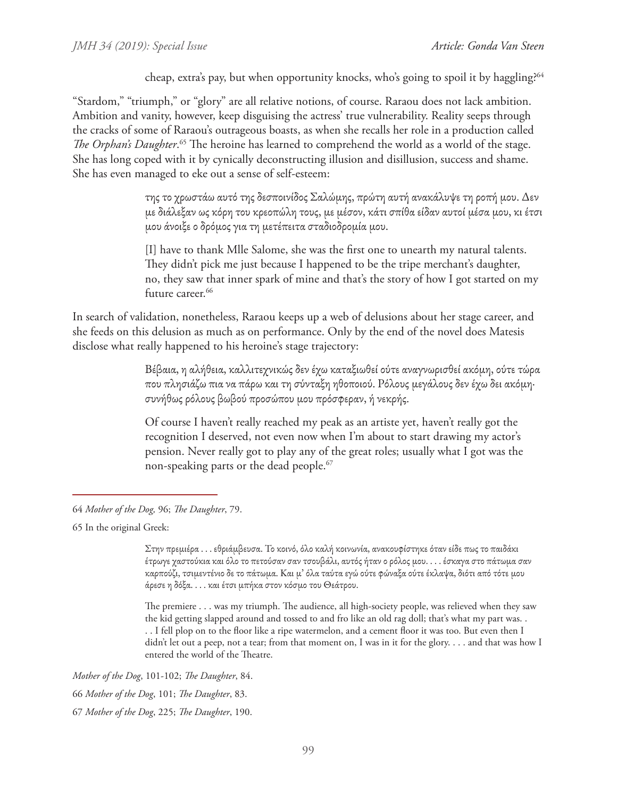cheap, extra's pay, but when opportunity knocks, who's going to spoil it by haggling?<sup>64</sup>

"Stardom," "triumph," or "glory" are all relative notions, of course. Raraou does not lack ambition. Ambition and vanity, however, keep disguising the actress' true vulnerability. Reality seeps through the cracks of some of Raraou's outrageous boasts, as when she recalls her role in a production called The Orphan's Daughter.<sup>65</sup> The heroine has learned to comprehend the world as a world of the stage. She has long coped with it by cynically deconstructing illusion and disillusion, success and shame. She has even managed to eke out a sense of self-esteem:

> της το χρωστάω αυτό της δεσποινίδος Σαλώμης, πρώτη αυτή ανακάλυψε τη ροπή μου. Δεν με διάλεξαν ως κόρη του κρεοπώλη τους, με μέσον, κάτι σπίθα είδαν αυτοί μέσα μου, κι έτσι μου άνοιξε ο δρόμος για τη μετέπειτα σταδιοδρομία μου.

> [I] have to thank Mlle Salome, she was the first one to unearth my natural talents. They didn't pick me just because I happened to be the tripe merchant's daughter, no, they saw that inner spark of mine and that's the story of how I got started on my future career.<sup>66</sup>

In search of validation, nonetheless, Raraou keeps up a web of delusions about her stage career, and she feeds on this delusion as much as on performance. Only by the end of the novel does Matesis disclose what really happened to his heroine's stage trajectory:

> Βέβαια, η αλήθεια, καλλιτεχνικώς δεν έχω καταξιωθεί ούτε αναγνωρισθεί ακόμη, ούτε τώρα που πλησιάζω πια να πάρω και τη σύνταξη ηθοποιού. Ρόλους μεγάλους δεν έχω δει ακόμη· συνήθως ρόλους βωβού προσώπου μου πρόσφεραν, ή νεκρής.

Of course I haven't really reached my peak as an artiste yet, haven't really got the recognition I deserved, not even now when I'm about to start drawing my actor's pension. Never really got to play any of the great roles; usually what I got was the non-speaking parts or the dead people.<sup>67</sup>

65 In the original Greek:

Στην πρεμιέρα . . . εθριάμβευσα. Το κοινό, όλο καλή κοινωνία, ανακουφίστηκε όταν είδε πως το παιδάκι έτρωγε χαστούκια και όλο το πετούσαν σαν τσουβάλι, αυτός ήταν ο ρόλος μου. . . . έσκαγα στο πάτωμα σαν καρπούζι, τσιμεντένιο δε το πάτωμα. Και μ' όλα ταύτα εγώ ούτε φώναξα ούτε έκλαψα, διότι από τότε μου άρεσε η δόξα. . . . και έτσι μπήκα στον κόσμο του Θεάτρου.

The premiere . . . was my triumph. The audience, all high-society people, was relieved when they saw the kid getting slapped around and tossed to and fro like an old rag doll; that's what my part was. . . . I fell plop on to the floor like a ripe watermelon, and a cement floor it was too. But even then I didn't let out a peep, not a tear; from that moment on, I was in it for the glory. . . . and that was how I entered the world of the Theatre.

*Mother of the Dog*, 101-102; *The Daughter*, 84.

66 *Mother of the Dog*, 101; *The Daughter*, 83.

67 *Mother of the Dog*, 225; *The Daughter*, 190.

<sup>64</sup> *Mother of the Dog,* 96; *The Daughter*, 79.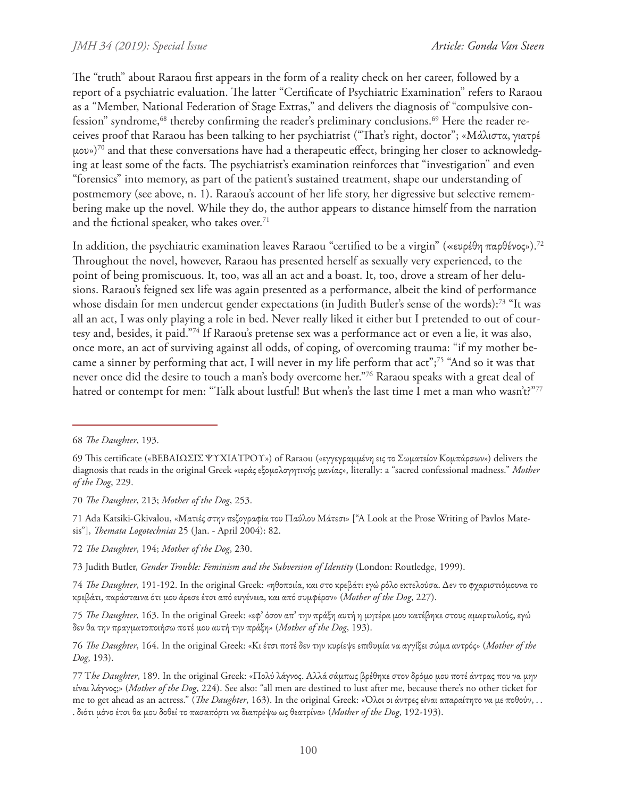The "truth" about Raraou first appears in the form of a reality check on her career, followed by a report of a psychiatric evaluation. The latter "Certificate of Psychiatric Examination" refers to Raraou as a "Member, National Federation of Stage Extras," and delivers the diagnosis of "compulsive confession" syndrome,<sup>68</sup> thereby confirming the reader's preliminary conclusions.<sup>69</sup> Here the reader receives proof that Raraou has been talking to her psychiatrist ("That's right, doctor"; «Μάλιστα, γιατρέ μου»)70 and that these conversations have had a therapeutic effect, bringing her closer to acknowledging at least some of the facts. The psychiatrist's examination reinforces that "investigation" and even "forensics" into memory, as part of the patient's sustained treatment, shape our understanding of postmemory (see above, n. 1). Raraou's account of her life story, her digressive but selective remembering make up the novel. While they do, the author appears to distance himself from the narration and the fictional speaker, who takes over.<sup>71</sup>

In addition, the psychiatric examination leaves Raraou "certified to be a virgin" («ευρέθη παρθένος»).72 Throughout the novel, however, Raraou has presented herself as sexually very experienced, to the point of being promiscuous. It, too, was all an act and a boast. It, too, drove a stream of her delusions. Raraou's feigned sex life was again presented as a performance, albeit the kind of performance whose disdain for men undercut gender expectations (in Judith Butler's sense of the words):<sup>73</sup> "It was all an act, I was only playing a role in bed. Never really liked it either but I pretended to out of courtesy and, besides, it paid."74 If Raraou's pretense sex was a performance act or even a lie, it was also, once more, an act of surviving against all odds, of coping, of overcoming trauma: "if my mother became a sinner by performing that act, I will never in my life perform that act";75 "And so it was that never once did the desire to touch a man's body overcome her."76 Raraou speaks with a great deal of hatred or contempt for men: "Talk about lustful! But when's the last time I met a man who wasn't?"77

75 *The Daughter*, 163. In the original Greek: «εφ' όσον απ' την πράξη αυτή η μητέρα μου κατέβηκε στους αμαρτωλούς, εγώ δεν θα την πραγματοποιήσω ποτέ μου αυτή την πράξη» (*Mother of the Dog*, 193).

<sup>68</sup> *The Daughter*, 193.

<sup>69</sup> This certificate («ΒΕΒΑΙΩΣΙΣ ΨΥΧΙΑΤΡΟΥ») of Raraou («εγγεγραμμένη εις το Σωματείον Κομπάρσων») delivers the diagnosis that reads in the original Greek «ιεράς εξομολογητικής μανίας», literally: a "sacred confessional madness." *Mother of the Dog*, 229.

<sup>70</sup> *The Daughter*, 213; *Mother of the Dog*, 253.

<sup>71</sup> Ada Katsiki-Gkivalou, «Ματιές στην πεζογραφία του Παύλου Μάτεσι» ["A Look at the Prose Writing of Pavlos Matesis"], *Themata Logotechnias* 25 (Jan. - April 2004): 82.

<sup>72</sup> *The Daughter*, 194; *Mother of the Dog*, 230.

<sup>73</sup> Judith Butler, *Gender Trouble: Feminism and the Subversion of Identity* (London: Routledge, 1999).

<sup>74</sup> *The Daughter*, 191-192. In the original Greek: «ηθοποιία, και στο κρεβάτι εγώ ρόλο εκτελούσα. Δεν το φχαριστιόμουνα το κρεβάτι, παράσταινα ότι μου άρεσε έτσι από ευγένεια, και από συμφέρον» (*Mother of the Dog*, 227).

<sup>76</sup> *The Daughter*, 164. In the original Greek: «Κι έτσι ποτέ δεν την κυρίεψε επιθυμία να αγγίξει σώμα αντρός» (*Mother of the Dog*, 193).

<sup>77</sup> T*he Daughter*, 189. In the original Greek: «Πολύ λάγνος. Αλλά σάμπως βρέθηκε στον δρόμο μου ποτέ άντρας που να μην είναι λάγνος;» (*Mother of the Dog*, 224). See also: "all men are destined to lust after me, because there's no other ticket for me to get ahead as an actress." (*The Daughter*, 163). In the original Greek: «Όλοι οι άντρες είναι απαραίτητο να με ποθούν, . . . διότι μόνο έτσι θα μου δοθεί το πασαπόρτι να διαπρέψω ως θεατρίνα» (*Mother of the Dog*, 192-193).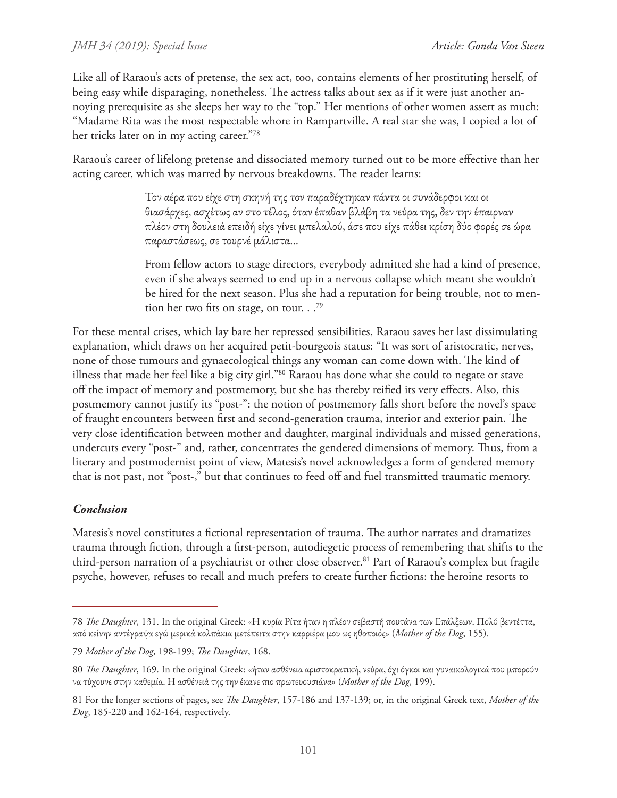Like all of Raraou's acts of pretense, the sex act, too, contains elements of her prostituting herself, of being easy while disparaging, nonetheless. The actress talks about sex as if it were just another annoying prerequisite as she sleeps her way to the "top." Her mentions of other women assert as much: "Madame Rita was the most respectable whore in Rampartville. A real star she was, I copied a lot of her tricks later on in my acting career."78

Raraou's career of lifelong pretense and dissociated memory turned out to be more effective than her acting career, which was marred by nervous breakdowns. The reader learns:

> Τον αέρα που είχε στη σκηνή της τον παραδέχτηκαν πάντα οι συνάδερφοι και οι θιασάρχες, ασχέτως αν στο τέλος, όταν έπαθαν βλάβη τα νεύρα της, δεν την έπαιρναν πλέον στη δουλειά επειδή είχε γίνει μπελαλού, άσε που είχε πάθει κρίση δύο φορές σε ώρα παραστάσεως, σε τουρνέ μάλιστα...

From fellow actors to stage directors, everybody admitted she had a kind of presence, even if she always seemed to end up in a nervous collapse which meant she wouldn't be hired for the next season. Plus she had a reputation for being trouble, not to mention her two fits on stage, on tour.  $.^{79}$ 

For these mental crises, which lay bare her repressed sensibilities, Raraou saves her last dissimulating explanation, which draws on her acquired petit-bourgeois status: "It was sort of aristocratic, nerves, none of those tumours and gynaecological things any woman can come down with. The kind of illness that made her feel like a big city girl."80 Raraou has done what she could to negate or stave off the impact of memory and postmemory, but she has thereby reified its very effects. Also, this postmemory cannot justify its "post-": the notion of postmemory falls short before the novel's space of fraught encounters between first and second-generation trauma, interior and exterior pain. The very close identification between mother and daughter, marginal individuals and missed generations, undercuts every "post-" and, rather, concentrates the gendered dimensions of memory. Thus, from a literary and postmodernist point of view, Matesis's novel acknowledges a form of gendered memory that is not past, not "post-," but that continues to feed off and fuel transmitted traumatic memory.

# *Conclusion*

Matesis's novel constitutes a fictional representation of trauma. The author narrates and dramatizes trauma through fiction, through a first-person, autodiegetic process of remembering that shifts to the third-person narration of a psychiatrist or other close observer.<sup>81</sup> Part of Raraou's complex but fragile psyche, however, refuses to recall and much prefers to create further fictions: the heroine resorts to

<sup>78</sup> *The Daughter*, 131. In the original Greek: «Η κυρία Ρίτα ήταν η πλέον σεβαστή πουτάνα των Επάλξεων. Πολύ βεντέττα, από κείνην αντέγραψα εγώ μερικά κολπάκια μετέπειτα στην καρριέρα μου ως ηθοποιός» (*Mother of the Dog*, 155).

<sup>79</sup> *Mother of the Dog*, 198-199; *The Daughter*, 168.

<sup>80</sup> *The Daughter*, 169. In the original Greek: «ήταν ασθένεια αριστοκρατική, νεύρα, όχι όγκοι και γυναικολογικά που μπορούν να τύχουνε στην καθεμία. Η ασθένειά της την έκανε πιο πρωτευουσιάνα» (*Mother of the Dog*, 199).

<sup>81</sup> For the longer sections of pages, see *The Daughter*, 157-186 and 137-139; or, in the original Greek text, *Mother of the Dog*, 185-220 and 162-164, respectively.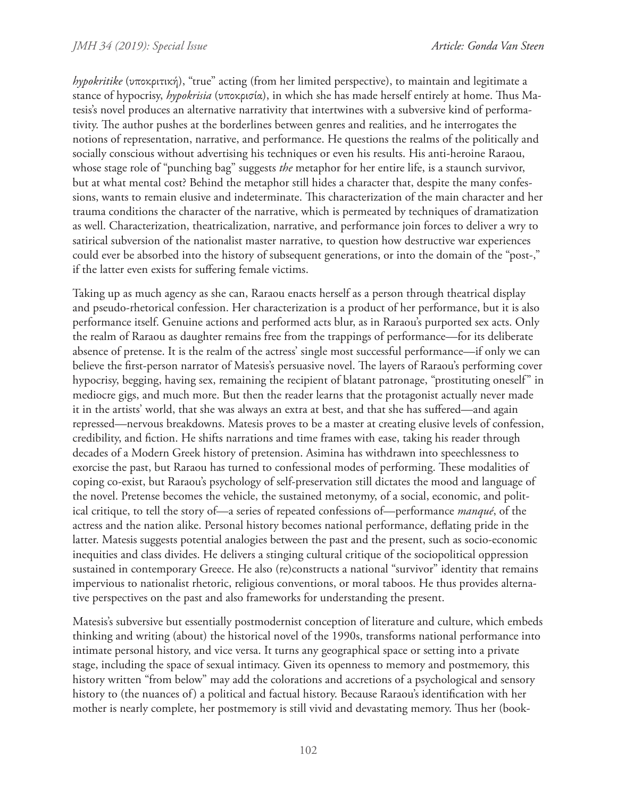*hypokritike* (υποκριτική), "true" acting (from her limited perspective), to maintain and legitimate a stance of hypocrisy, *hypokrisia* (υποκρισία), in which she has made herself entirely at home. Thus Matesis's novel produces an alternative narrativity that intertwines with a subversive kind of performativity. The author pushes at the borderlines between genres and realities, and he interrogates the notions of representation, narrative, and performance. He questions the realms of the politically and socially conscious without advertising his techniques or even his results. His anti-heroine Raraou, whose stage role of "punching bag" suggests *the* metaphor for her entire life, is a staunch survivor, but at what mental cost? Behind the metaphor still hides a character that, despite the many confessions, wants to remain elusive and indeterminate. This characterization of the main character and her trauma conditions the character of the narrative, which is permeated by techniques of dramatization as well. Characterization, theatricalization, narrative, and performance join forces to deliver a wry to satirical subversion of the nationalist master narrative, to question how destructive war experiences could ever be absorbed into the history of subsequent generations, or into the domain of the "post-," if the latter even exists for suffering female victims.

Taking up as much agency as she can, Raraou enacts herself as a person through theatrical display and pseudo-rhetorical confession. Her characterization is a product of her performance, but it is also performance itself. Genuine actions and performed acts blur, as in Raraou's purported sex acts. Only the realm of Raraou as daughter remains free from the trappings of performance—for its deliberate absence of pretense. It is the realm of the actress' single most successful performance—if only we can believe the first-person narrator of Matesis's persuasive novel. The layers of Raraou's performing cover hypocrisy, begging, having sex, remaining the recipient of blatant patronage, "prostituting oneself" in mediocre gigs, and much more. But then the reader learns that the protagonist actually never made it in the artists' world, that she was always an extra at best, and that she has suffered—and again repressed—nervous breakdowns. Matesis proves to be a master at creating elusive levels of confession, credibility, and fiction. He shifts narrations and time frames with ease, taking his reader through decades of a Modern Greek history of pretension. Asimina has withdrawn into speechlessness to exorcise the past, but Raraou has turned to confessional modes of performing. These modalities of coping co-exist, but Raraou's psychology of self-preservation still dictates the mood and language of the novel. Pretense becomes the vehicle, the sustained metonymy, of a social, economic, and political critique, to tell the story of—a series of repeated confessions of—performance *manqué*, of the actress and the nation alike. Personal history becomes national performance, deflating pride in the latter. Matesis suggests potential analogies between the past and the present, such as socio-economic inequities and class divides. He delivers a stinging cultural critique of the sociopolitical oppression sustained in contemporary Greece. He also (re)constructs a national "survivor" identity that remains impervious to nationalist rhetoric, religious conventions, or moral taboos. He thus provides alternative perspectives on the past and also frameworks for understanding the present.

Matesis's subversive but essentially postmodernist conception of literature and culture, which embeds thinking and writing (about) the historical novel of the 1990s, transforms national performance into intimate personal history, and vice versa. It turns any geographical space or setting into a private stage, including the space of sexual intimacy. Given its openness to memory and postmemory, this history written "from below" may add the colorations and accretions of a psychological and sensory history to (the nuances of) a political and factual history. Because Raraou's identification with her mother is nearly complete, her postmemory is still vivid and devastating memory. Thus her (book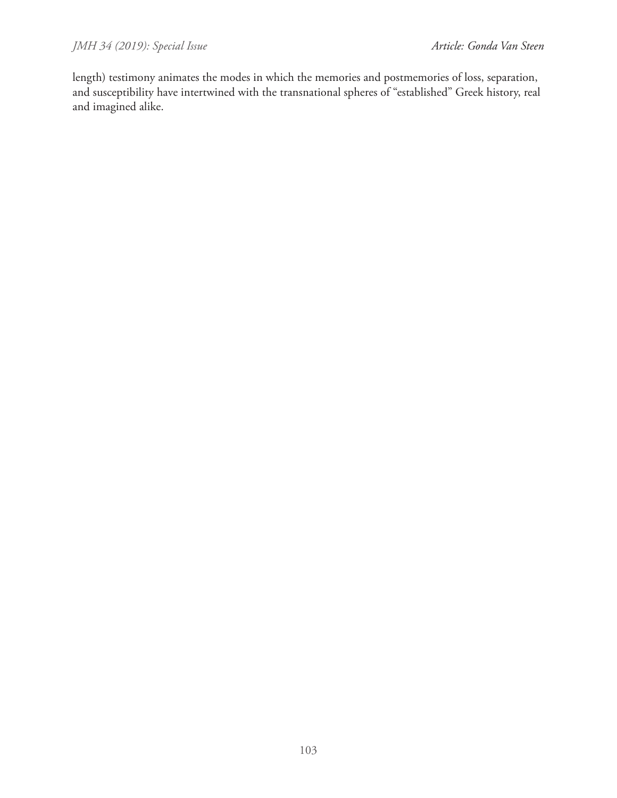length) testimony animates the modes in which the memories and postmemories of loss, separation, and susceptibility have intertwined with the transnational spheres of "established" Greek history, real and imagined alike.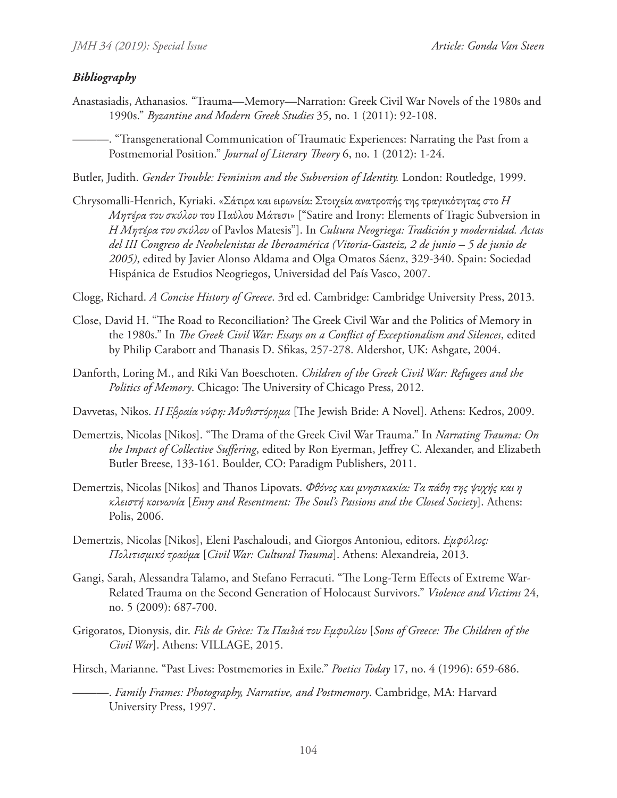### *Bibliography*

Anastasiadis, Athanasios. "Trauma—Memory—Narration: Greek Civil War Novels of the 1980s and 1990s." *Byzantine and Modern Greek Studies* 35, no. 1 (2011): 92-108.

———. "Transgenerational Communication of Traumatic Experiences: Narrating the Past from a Postmemorial Position." *Journal of Literary Theory* 6, no. 1 (2012): 1-24.

Butler, Judith. *Gender Trouble: Feminism and the Subversion of Identity.* London: Routledge, 1999.

Chrysomalli-Henrich, Kyriaki. «Σάτιρα και ειρωνεία: Στοιχεία ανατροπής της τραγικότητας στο *Η Μητέρα του σκύλου* του Παύλου Μάτεσι» ["Satire and Irony: Elements of Tragic Subversion in *Η Μητέρα του σκύλου* of Pavlos Matesis"]. In *Cultura Neogriega: Tradición y modernidad. Actas del III Congreso de Neohelenistas de Iberoamérica (Vitoria-Gasteiz, 2 de junio – 5 de junio de 2005)*, edited by Javier Alonso Aldama and Olga Omatos Sáenz, 329-340. Spain: Sociedad Hispánica de Estudios Neogriegos, Universidad del País Vasco, 2007.

Clogg, Richard. *A Concise History of Greece*. 3rd ed. Cambridge: Cambridge University Press, 2013.

- Close, David H. "The Road to Reconciliation? The Greek Civil War and the Politics of Memory in the 1980s." In *The Greek Civil War: Essays on a Conflict of Exceptionalism and Silences*, edited by Philip Carabott and Thanasis D. Sfikas, 257-278. Aldershot, UK: Ashgate, 2004.
- Danforth, Loring M., and Riki Van Boeschoten. *Children of the Greek Civil War: Refugees and the Politics of Memory*. Chicago: The University of Chicago Press, 2012.
- Davvetas, Nikos. *Η Εβραία νύφη: Μυθιστόρημα* [The Jewish Bride: A Novel]. Athens: Kedros, 2009.
- Demertzis, Nicolas [Nikos]. "The Drama of the Greek Civil War Trauma." In *Narrating Trauma: On the Impact of Collective Suffering*, edited by Ron Eyerman, Jeffrey C. Alexander, and Elizabeth Butler Breese, 133-161. Boulder, CO: Paradigm Publishers, 2011.
- Demertzis, Nicolas [Nikos] and Thanos Lipovats. *Φθόνος και μνησικακία: Τα πάθη της ψυχής και η κλειστή κοινωνία* [*Envy and Resentment: The Soul's Passions and the Closed Society*]. Athens: Polis, 2006.
- Demertzis, Nicolas [Nikos], Eleni Paschaloudi, and Giorgos Antoniou, editors. *Εμφύλιος: Πολιτισμικό τραύμα* [*Civil War: Cultural Trauma*]. Athens: Alexandreia, 2013.
- Gangi, Sarah, Alessandra Talamo, and Stefano Ferracuti. "The Long-Term Effects of Extreme War-Related Trauma on the Second Generation of Holocaust Survivors." *Violence and Victims* 24, no. 5 (2009): 687-700.
- Grigoratos, Dionysis, dir. *Fils de Grèce: Τα Παιδιά του Εμφυλίου* [*Sons of Greece: The Children of the Civil War*]. Athens: VILLAGE, 2015.

Hirsch, Marianne. "Past Lives: Postmemories in Exile." *Poetics Today* 17, no. 4 (1996): 659-686.

<sup>-.</sup> Family Frames: Photography, Narrative, and Postmemory. Cambridge, MA: Harvard University Press, 1997.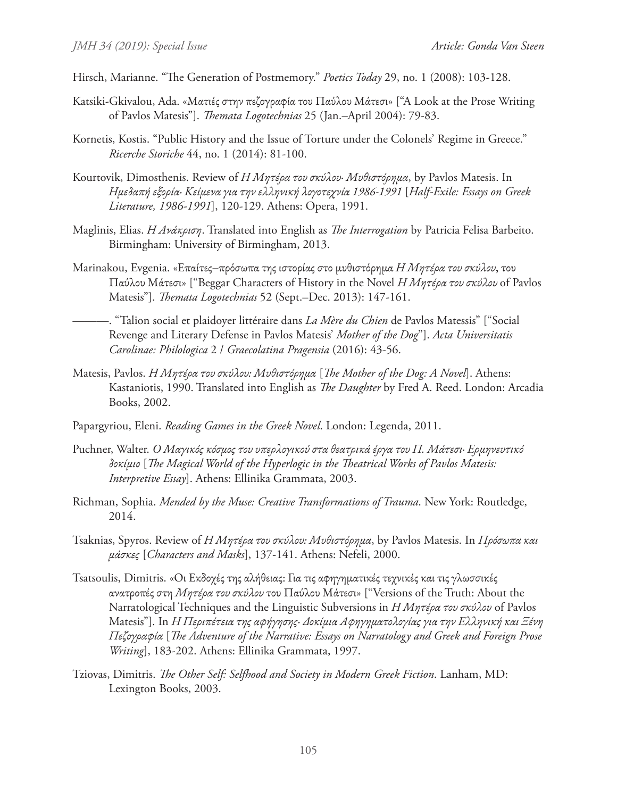Hirsch, Marianne. "The Generation of Postmemory." *Poetics Today* 29, no. 1 (2008): 103-128.

- Katsiki-Gkivalou, Ada. «Ματιές στην πεζογραφία του Παύλου Μάτεσι» ["A Look at the Prose Writing of Pavlos Matesis"]. *Themata Logotechnias* 25 (Jan.–April 2004): 79-83.
- Kornetis, Kostis. "Public History and the Issue of Torture under the Colonels' Regime in Greece." *Ricerche Storiche* 44, no. 1 (2014): 81-100.
- Kourtovik, Dimosthenis. Review of *Η Μητέρα του σκύλου· Mυθιστόρημα*, by Pavlos Matesis. In *Ημεδαπή εξορία· Κείμενα για την ελληνική λογοτεχνία 1986-1991* [*Half-Exile: Essays on Greek Literature, 1986-1991*], 120-129. Athens: Opera, 1991.
- Maglinis, Elias. *Η Ανάκριση*. Translated into English as *The Interrogation* by Patricia Felisa Barbeito. Birmingham: University of Birmingham, 2013.
- Marinakou, Evgenia. «Επαίτες‒πρόσωπα της ιστορίας στο μυθιστόρημα *Η Μητέρα του σκύλου*, του Παύλου Μάτεσι» ["Beggar Characters of History in the Novel *Η Μητέρα του σκύλου* of Pavlos Matesis"]. *Themata Logotechnias* 52 (Sept.–Dec. 2013): 147-161.
	- ———. "Talion social et plaidoyer littéraire dans *La Mère du Chien* de Pavlos Matessis" ["Social Revenge and Literary Defense in Pavlos Matesis' *Mother of the Dog*"]. *Acta Universitatis Carolinae: Philologica* 2 / *Graecolatina Pragensia* (2016): 43-56.
- Matesis, Pavlos. *Η Μητέρα του σκύλου: Mυθιστόρημα* [*The Mother of the Dog: A Novel*]. Athens: Kastaniotis, 1990. Translated into English as *The Daughter* by Fred A. Reed. London: Arcadia Books, 2002.
- Papargyriou, Eleni. *Reading Games in the Greek Novel*. London: Legenda, 2011.
- Puchner, Walter. *Ο Μαγικός κόσμος του υπερλογικού στα θεατρικά έργα του Π. Μάτεσι· Ερμηνευτικό δοκίμιο* [*The Magical World of the Hyperlogic in the Theatrical Works of Pavlos Matesis: Interpretive Essay*]. Athens: Ellinika Grammata, 2003.
- Richman, Sophia. *Mended by the Muse: Creative Transformations of Trauma*. New York: Routledge, 2014.
- Tsaknias, Spyros. Review of *Η Μητέρα του σκύλου: Mυθιστόρημα*, by Pavlos Matesis. In *Πρόσωπα και μάσκες* [*Characters and Masks*], 137-141. Athens: Nefeli, 2000.
- Tsatsoulis, Dimitris. «Οι Εκδοχές της αλήθειας: Για τις αφηγηματικές τεχνικές και τις γλωσσικές ανατροπές στη *Μητέρα του σκύλου* του Παύλου Μάτεσι» ["Versions of the Truth: About the Narratological Techniques and the Linguistic Subversions in *Η Μητέρα του σκύλου* of Pavlos Matesis"]. In *Η Περιπέτεια της αφήγησης· Δοκίμια Αφηγηματολογίας για την Eλληνική και Ξένη Πεζογραφία* [*The Adventure of the Narrative: Essays on Narratology and Greek and Foreign Prose Writing*], 183-202. Athens: Ellinika Grammata, 1997.
- Tziovas, Dimitris. *The Other Self: Selfhood and Society in Modern Greek Fiction*. Lanham, MD: Lexington Books, 2003.